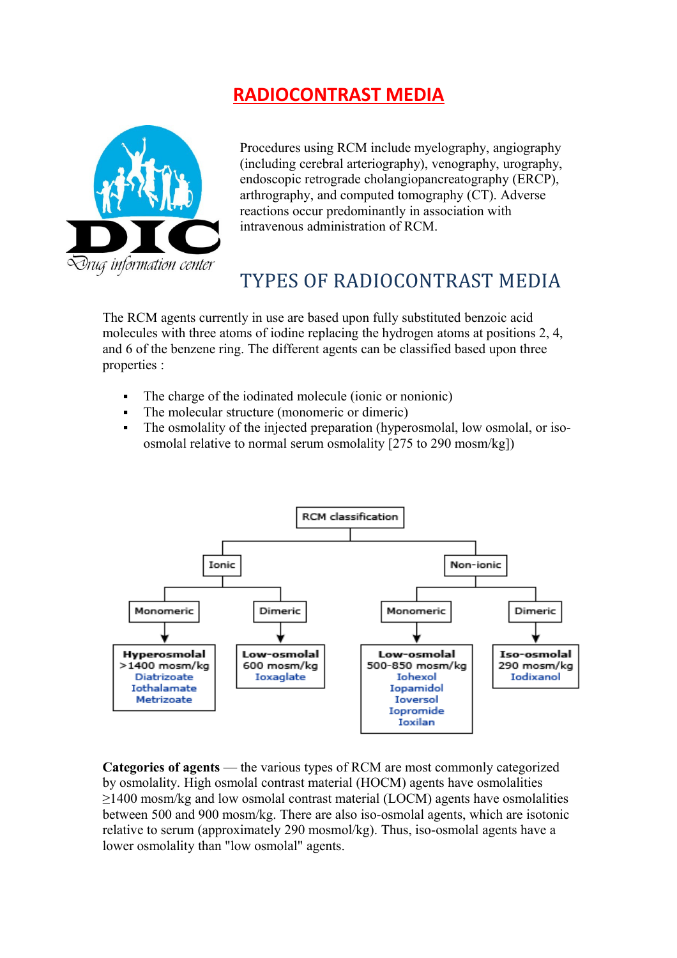## **RADIOCONTRAST MEDIA**



Procedures using RCM include myelography, angiography (including cerebral arteriography), venography, urography, endoscopic retrograde cholangiopancreatography (ERCP), arthrography, and computed tomography (CT). Adverse reactions occur predominantly in association with intravenous administration of RCM.

## TYPES OF RADIOCONTRAST MEDIA

The RCM agents currently in use are based upon fully substituted benzoic acid molecules with three atoms of iodine replacing the hydrogen atoms at positions 2, 4, and 6 of the benzene ring. The different agents can be classified based upon three properties :

- The charge of the iodinated molecule (ionic or nonionic)
- The molecular structure (monomeric or dimeric)
- The osmolality of the injected preparation (hyperosmolal, low osmolal, or isoosmolal relative to normal serum osmolality [275 to 290 mosm/kg])



**Categories of agents** — the various types of RCM are most commonly categorized by osmolality. High osmolal contrast material (HOCM) agents have osmolalities ≥1400 mosm/kg and low osmolal contrast material (LOCM) agents have osmolalities between 500 and 900 mosm/kg. There are also iso-osmolal agents, which are isotonic relative to serum (approximately 290 mosmol/kg). Thus, iso-osmolal agents have a lower osmolality than "low osmolal" agents.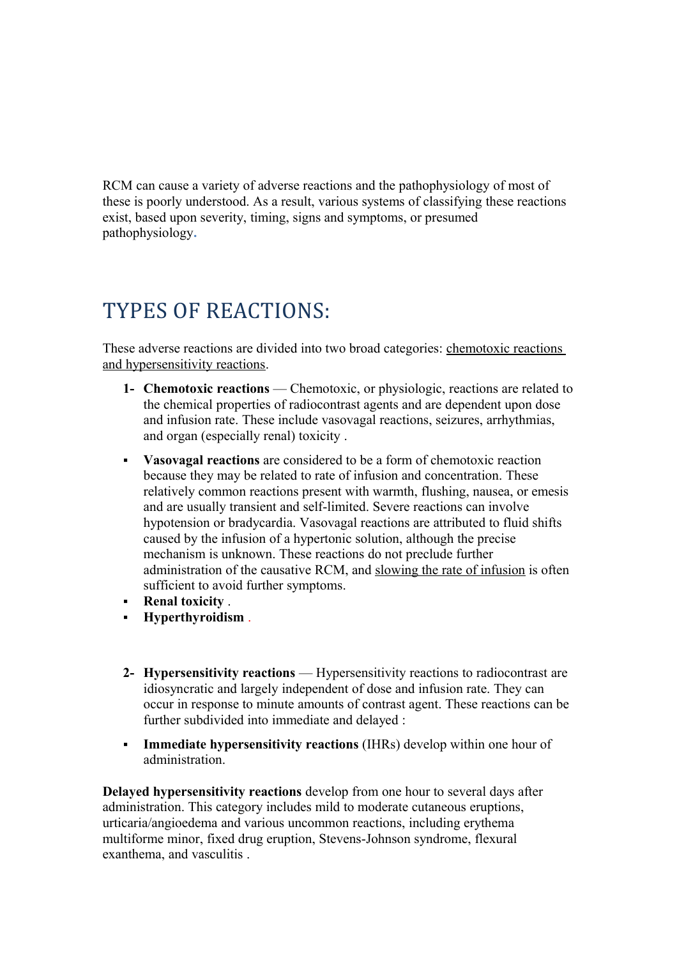RCM can cause a variety of adverse reactions and the pathophysiology of most of these is poorly understood. As a result, various systems of classifying these reactions exist, based upon severity, timing, signs and symptoms, or presumed pathophysiology**.**

# TYPES OF REACTIONS:

These adverse reactions are divided into two broad categories: chemotoxic reactions and hypersensitivity reactions.

- **1- Chemotoxic reactions** Chemotoxic, or physiologic, reactions are related to the chemical properties of radiocontrast agents and are dependent upon dose and infusion rate. These include vasovagal reactions, seizures, arrhythmias, and organ (especially renal) toxicity .
- **Vasovagal reactions** are considered to be a form of chemotoxic reaction because they may be related to rate of infusion and concentration. These relatively common reactions present with warmth, flushing, nausea, or emesis and are usually transient and self-limited. Severe reactions can involve hypotension or bradycardia. Vasovagal reactions are attributed to fluid shifts caused by the infusion of a hypertonic solution, although the precise mechanism is unknown. These reactions do not preclude further administration of the causative RCM, and slowing the rate of infusion is often sufficient to avoid further symptoms.
- **Renal toxicity** .
- **Hyperthyroidism** .
- **2- Hypersensitivity reactions** Hypersensitivity reactions to radiocontrast are idiosyncratic and largely independent of dose and infusion rate. They can occur in response to minute amounts of contrast agent. These reactions can be further subdivided into immediate and delayed :
- **Immediate hypersensitivity reactions** (IHRs) develop within one hour of administration.

**Delayed hypersensitivity reactions** develop from one hour to several days after administration. This category includes mild to moderate cutaneous eruptions, urticaria/angioedema and various uncommon reactions, including erythema multiforme minor, fixed drug eruption, Stevens-Johnson syndrome, flexural exanthema, and vasculitis .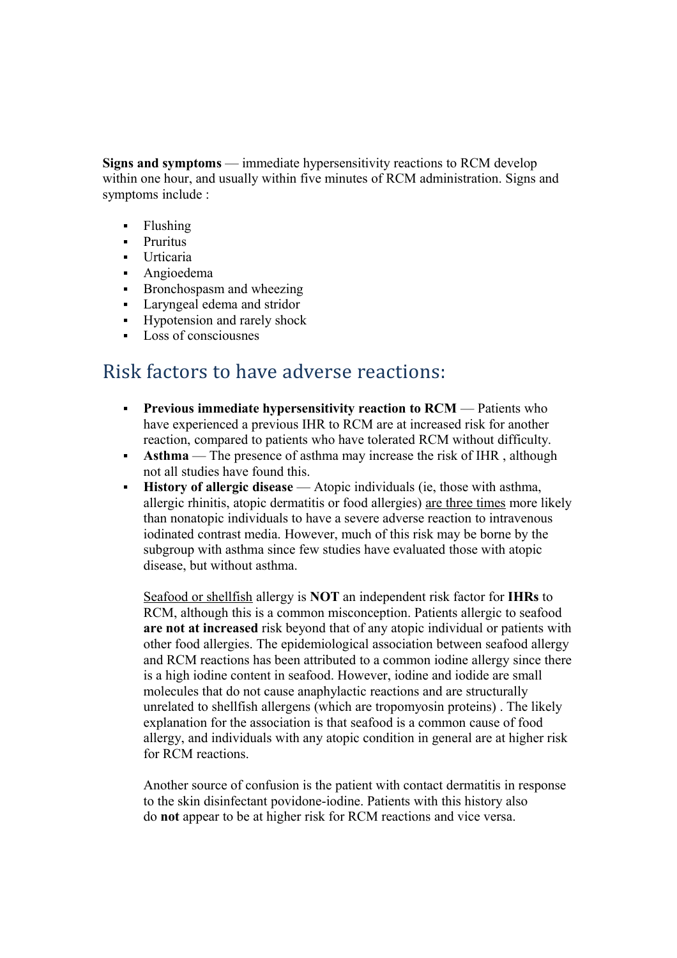**Signs and symptoms** — immediate hypersensitivity reactions to RCM develop within one hour, and usually within five minutes of RCM administration. Signs and symptoms include :

- Flushing
- **-** Pruritus
- Urticaria
- **-** Angioedema
- **Bronchospasm and wheezing**
- Laryngeal edema and stridor
- Hypotension and rarely shock
- Loss of consciousnes

## Risk factors to have adverse reactions:

- **Previous immediate hypersensitivity reaction to RCM** Patients who have experienced a previous IHR to RCM are at increased risk for another reaction, compared to patients who have tolerated RCM without difficulty.
- **Asthma** The presence of asthma may increase the risk of IHR, although not all studies have found this.
- **History of allergic disease** Atopic individuals (ie, those with asthma, allergic rhinitis, atopic dermatitis or food allergies) are three times more likely than nonatopic individuals to have a severe adverse reaction to intravenous iodinated contrast media. However, much of this risk may be borne by the subgroup with asthma since few studies have evaluated those with atopic disease, but without asthma.

Seafood or shellfish allergy is **NOT** an independent risk factor for **IHRs** to RCM, although this is a common misconception. Patients allergic to seafood **are not at increased** risk beyond that of any atopic individual or patients with other food allergies. The epidemiological association between seafood allergy and RCM reactions has been attributed to a common iodine allergy since there is a high iodine content in seafood. However, iodine and iodide are small molecules that do not cause anaphylactic reactions and are structurally unrelated to shellfish allergens (which are tropomyosin proteins) . The likely explanation for the association is that seafood is a common cause of food allergy, and individuals with any atopic condition in general are at higher risk for RCM reactions.

Another source of confusion is the patient with contact dermatitis in response to the skin disinfectant povidone-iodine. Patients with this history also do **not** appear to be at higher risk for RCM reactions and vice versa.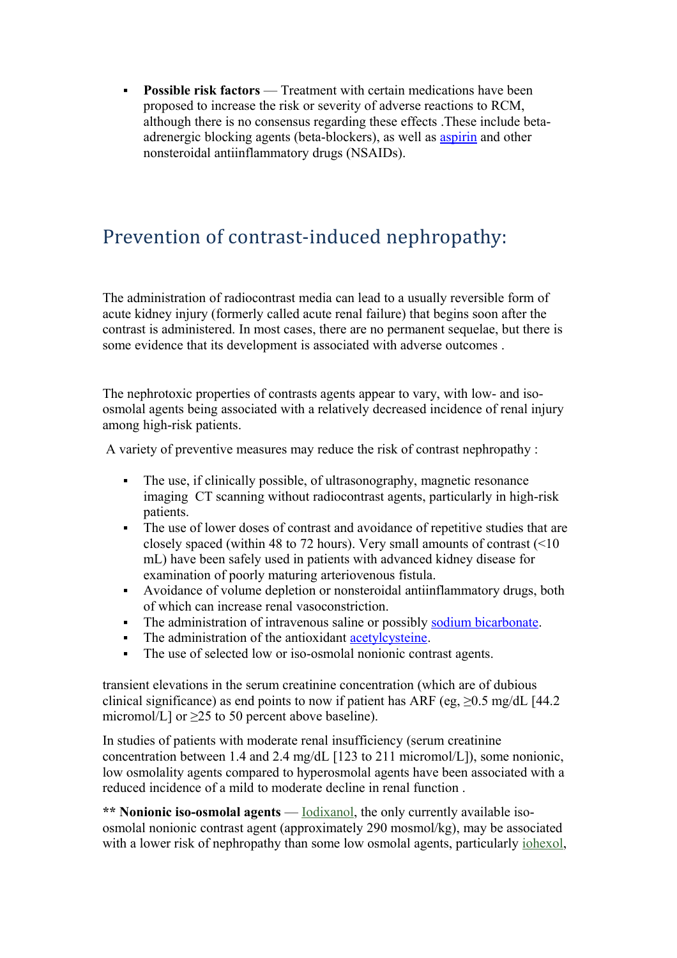**Possible risk factors** — Treatment with certain medications have been proposed to increase the risk or severity of adverse reactions to RCM, although there is no consensus regarding these effects .These include betaadrenergic blocking agents (beta-blockers), as well as [aspirin](http://www.uptodate.com/contents/aspirin-drug-information?source=see_link) and other nonsteroidal antiinflammatory drugs (NSAIDs).

## Prevention of contrast-induced nephropathy:

The administration of radiocontrast media can lead to a usually reversible form of acute kidney injury (formerly called acute renal failure) that begins soon after the contrast is administered. In most cases, there are no permanent sequelae, but there is some evidence that its development is associated with adverse outcomes .

The nephrotoxic properties of contrasts agents appear to vary, with low- and isoosmolal agents being associated with a relatively decreased incidence of renal injury among high-risk patients.

A variety of preventive measures may reduce the risk of contrast nephropathy :

- The use, if clinically possible, of ultrasonography, magnetic resonance imaging CT scanning without radiocontrast agents, particularly in high-risk patients.
- The use of lower doses of contrast and avoidance of repetitive studies that are closely spaced (within 48 to 72 hours). Very small amounts of contrast  $($ mL) have been safely used in patients with advanced kidney disease for examination of poorly maturing arteriovenous fistula.
- Avoidance of volume depletion or nonsteroidal antiinflammatory drugs, both of which can increase renal vasoconstriction.
- The administration of intravenous saline or possibly [sodium bicarbonate.](http://www.uptodate.com/contents/sodium-bicarbonate-drug-information?source=see_link)
- The administration of the antioxidant [acetylcysteine.](http://www.uptodate.com/contents/acetylcysteine-drug-information?source=see_link)
- The use of selected low or iso-osmolal nonionic contrast agents.

transient elevations in the serum creatinine concentration (which are of dubious clinical significance) as end points to now if patient has ARF (eg,  $\geq 0.5$  mg/dL [44.2] micromol/L] or  $>25$  to 50 percent above baseline).

In studies of patients with moderate renal insufficiency (serum creatinine concentration between 1.4 and 2.4 mg/dL [123 to 211 micromol/L]), some nonionic, low osmolality agents compared to hyperosmolal agents have been associated with a reduced incidence of a mild to moderate decline in renal function .

**\*\* Nonionic iso-osmolal agents** — [Iodixanol,](http://www.uptodate.com/contents/iodixanol-drug-information?source=see_link) the only currently available isoosmolal nonionic contrast agent (approximately 290 mosmol/kg), may be associated with a lower risk of nephropathy than some low osmolal agents, particularly [iohexol,](http://www.uptodate.com/contents/iohexol-drug-information?source=see_link)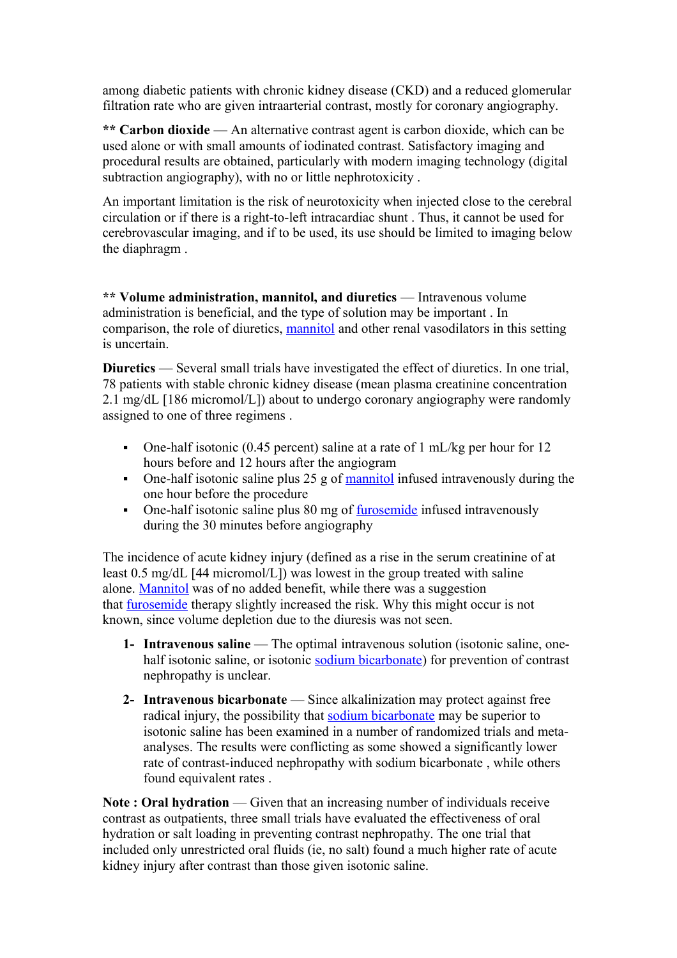among diabetic patients with chronic kidney disease (CKD) and a reduced glomerular filtration rate who are given intraarterial contrast, mostly for coronary angiography.

**\*\* Carbon dioxide** — An alternative contrast agent is carbon dioxide, which can be used alone or with small amounts of iodinated contrast. Satisfactory imaging and procedural results are obtained, particularly with modern imaging technology (digital subtraction angiography), with no or little nephrotoxicity .

An important limitation is the risk of neurotoxicity when injected close to the cerebral circulation or if there is a right-to-left intracardiac shunt . Thus, it cannot be used for cerebrovascular imaging, and if to be used, its use should be limited to imaging below the diaphragm .

**\*\* Volume administration, mannitol, and diuretics** — Intravenous volume administration is beneficial, and the type of solution may be important . In comparison, the role of diuretics, [mannitol](http://www.uptodate.com/contents/mannitol-drug-information?source=see_link) and other renal vasodilators in this setting is uncertain.

**Diuretics** — Several small trials have investigated the effect of diuretics. In one trial, 78 patients with stable chronic kidney disease (mean plasma creatinine concentration 2.1 mg/dL [186 micromol/L]) about to undergo coronary angiography were randomly assigned to one of three regimens .

- One-half isotonic (0.45 percent) saline at a rate of 1 mL/kg per hour for 12 hours before and 12 hours after the angiogram
- One-half isotonic saline plus  $25$  g of [mannitol](http://www.uptodate.com/contents/mannitol-drug-information?source=see_link) infused intravenously during the one hour before the procedure
- One-half isotonic saline plus 80 mg of [furosemide](http://www.uptodate.com/contents/furosemide-drug-information?source=see_link) infused intravenously during the 30 minutes before angiography

The incidence of acute kidney injury (defined as a rise in the serum creatinine of at least 0.5 mg/dL [44 micromol/L]) was lowest in the group treated with saline alone. [Mannitol](http://www.uptodate.com/contents/mannitol-drug-information?source=see_link) was of no added benefit, while there was a suggestion that [furosemide](http://www.uptodate.com/contents/furosemide-drug-information?source=see_link) therapy slightly increased the risk. Why this might occur is not known, since volume depletion due to the diuresis was not seen.

- **1- Intravenous saline** The optimal intravenous solution (isotonic saline, onehalf isotonic saline, or isotonic [sodium bicarbonate\)](http://www.uptodate.com/contents/sodium-bicarbonate-drug-information?source=see_link) for prevention of contrast nephropathy is unclear.
- **2- Intravenous bicarbonate** Since alkalinization may protect against free radical injury, the possibility that [sodium bicarbonate](http://www.uptodate.com/contents/sodium-bicarbonate-drug-information?source=see_link) may be superior to isotonic saline has been examined in a number of randomized trials and metaanalyses. The results were conflicting as some showed a significantly lower rate of contrast-induced nephropathy with sodium bicarbonate , while others found equivalent rates .

**Note : Oral hydration** — Given that an increasing number of individuals receive contrast as outpatients, three small trials have evaluated the effectiveness of oral hydration or salt loading in preventing contrast nephropathy. The one trial that included only unrestricted oral fluids (ie, no salt) found a much higher rate of acute kidney injury after contrast than those given isotonic saline.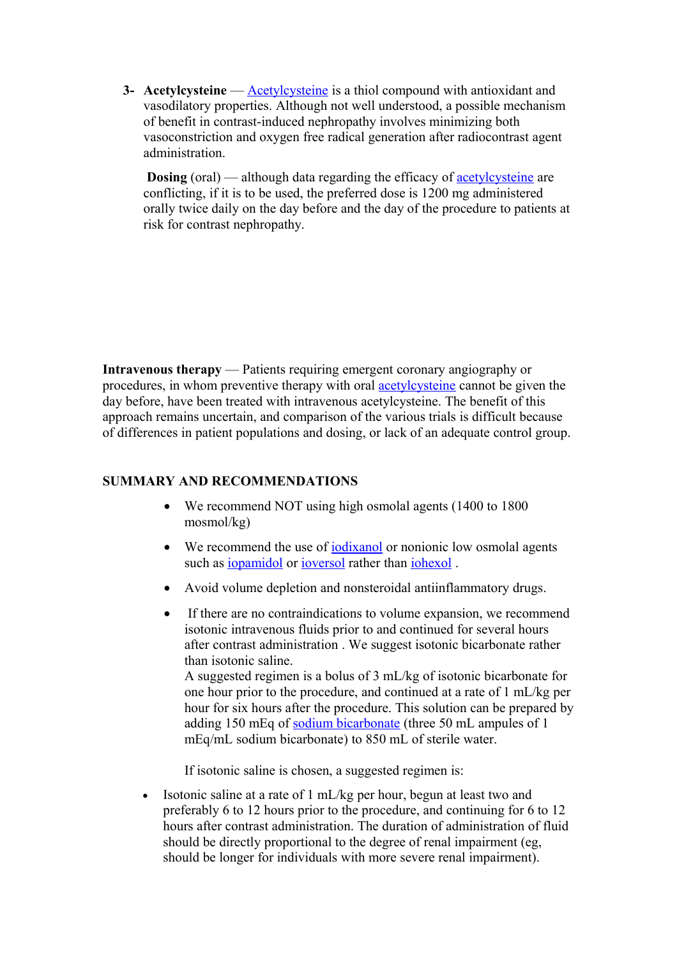**3- [Acetylcysteine](http://www.uptodate.com/contents/acetylcysteine-drug-information?source=see_link)** — **Acetylcysteine** is a thiol compound with antioxidant and vasodilatory properties. Although not well understood, a possible mechanism of benefit in contrast-induced nephropathy involves minimizing both vasoconstriction and oxygen free radical generation after radiocontrast agent administration.

**Dosing** (oral) — although data regarding the efficacy of **[acetylcysteine](http://www.uptodate.com/contents/acetylcysteine-drug-information?source=see_link)** are conflicting, if it is to be used, the preferred dose is 1200 mg administered orally twice daily on the day before and the day of the procedure to patients at risk for contrast nephropathy.

**Intravenous therapy** — Patients requiring emergent coronary angiography or procedures, in whom preventive therapy with oral [acetylcysteine](http://www.uptodate.com/contents/acetylcysteine-drug-information?source=see_link) cannot be given the day before, have been treated with intravenous acetylcysteine. The benefit of this approach remains uncertain, and comparison of the various trials is difficult because of differences in patient populations and dosing, or lack of an adequate control group.

### **SUMMARY AND RECOMMENDATIONS**

- We recommend NOT using high osmolal agents (1400 to 1800 mosmol/kg)
- We recommend the use of **[iodixanol](http://www.uptodate.com/contents/iodixanol-drug-information?source=see_link)** or nonionic low osmolal agents such as [iopamidol](http://www.uptodate.com/contents/iopamidol-drug-information?source=see_link) or [ioversol](http://www.uptodate.com/contents/ioversol-drug-information?source=see_link) rather than [iohexol](http://www.uptodate.com/contents/iohexol-drug-information?source=see_link).
- Avoid volume depletion and nonsteroidal antiinflammatory drugs.
- If there are no contraindications to volume expansion, we recommend isotonic intravenous fluids prior to and continued for several hours after contrast administration . We suggest isotonic bicarbonate rather than isotonic saline.

A suggested regimen is a bolus of 3 mL/kg of isotonic bicarbonate for one hour prior to the procedure, and continued at a rate of 1 mL/kg per hour for six hours after the procedure. This solution can be prepared by adding 150 mEq of [sodium bicarbonate](http://www.uptodate.com/contents/sodium-bicarbonate-drug-information?source=see_link) (three 50 mL ampules of 1 mEq/mL sodium bicarbonate) to 850 mL of sterile water.

If isotonic saline is chosen, a suggested regimen is:

 Isotonic saline at a rate of 1 mL/kg per hour, begun at least two and preferably 6 to 12 hours prior to the procedure, and continuing for 6 to 12 hours after contrast administration. The duration of administration of fluid should be directly proportional to the degree of renal impairment (eg, should be longer for individuals with more severe renal impairment).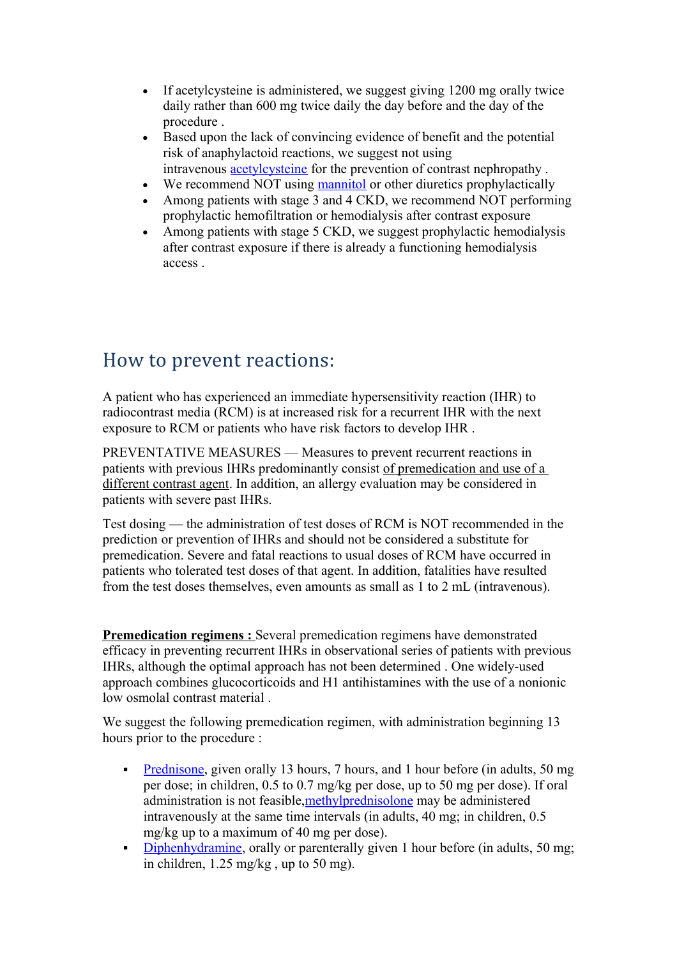- If acetylcysteine is administered, we suggest giving 1200 mg orally twice daily rather than 600 mg twice daily the day before and the day of the procedure
- Based upon the lack of convincing evidence of benefit and the potential risk of anaphylactoid reactions, we suggest not using intravenous [acetylcysteine](http://www.uptodate.com/contents/acetylcysteine-drug-information?source=see_link) for the prevention of contrast nephropathy .
- We recommend NOT using [mannitol](http://www.uptodate.com/contents/mannitol-drug-information?source=see_link) or other diuretics prophylactically
- Among patients with stage 3 and 4 CKD, we recommend NOT performing prophylactic hemofiltration or hemodialysis after contrast exposure
- Among patients with stage 5 CKD, we suggest prophylactic hemodialysis after contrast exposure if there is already a functioning hemodialysis access .

## How to prevent reactions:

A patient who has experienced an immediate hypersensitivity reaction (IHR) to radiocontrast media (RCM) is at increased risk for a recurrent IHR with the next exposure to RCM or patients who have risk factors to develop IHR .

PREVENTATIVE MEASURES — Measures to prevent recurrent reactions in patients with previous IHRs predominantly consist of premedication and use of a different contrast agent. In addition, an allergy evaluation may be considered in patients with severe past IHRs.

Test dosing — the administration of test doses of RCM is NOT recommended in the prediction or prevention of IHRs and should not be considered a substitute for premedication. Severe and fatal reactions to usual doses of RCM have occurred in patients who tolerated test doses of that agent. In addition, fatalities have resulted from the test doses themselves, even amounts as small as 1 to 2 mL (intravenous).

**Premedication regimens :** Several premedication regimens have demonstrated efficacy in preventing recurrent IHRs in observational series of patients with previous IHRs, although the optimal approach has not been determined . One widely-used approach combines glucocorticoids and H1 antihistamines with the use of a nonionic low osmolal contrast material .

We suggest the following premedication regimen, with administration beginning 13 hours prior to the procedure :

- [Prednisone,](http://www.uptodate.com/contents/prednisone-drug-information?source=see_link) given orally 13 hours, 7 hours, and 1 hour before (in adults, 50 mg) per dose; in children, 0.5 to 0.7 mg/kg per dose, up to 50 mg per dose). If oral administration is not feasible, methylprednisolone may be administered intravenously at the same time intervals (in adults, 40 mg; in children, 0.5 mg/kg up to a maximum of 40 mg per dose).
- [Diphenhydramine,](http://www.uptodate.com/contents/diphenhydramine-drug-information?source=see_link) orally or parenterally given 1 hour before (in adults, 50 mg; in children, 1.25 mg/kg , up to 50 mg).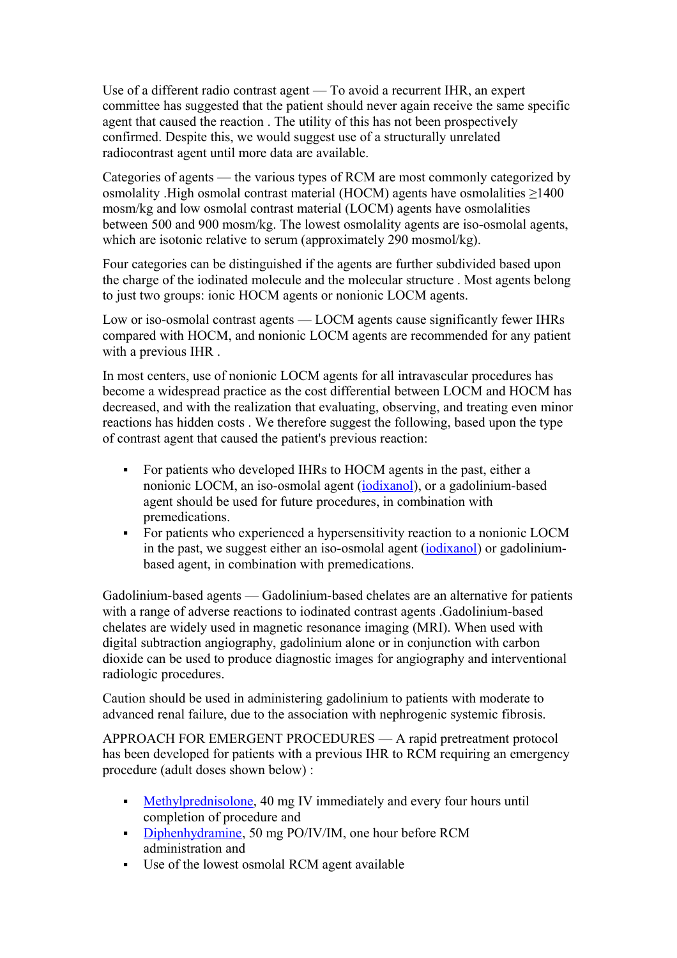Use of a different radio contrast agent — To avoid a recurrent IHR, an expert committee has suggested that the patient should never again receive the same specific agent that caused the reaction . The utility of this has not been prospectively confirmed. Despite this, we would suggest use of a structurally unrelated radiocontrast agent until more data are available.

Categories of agents — the various types of RCM are most commonly categorized by osmolality .High osmolal contrast material (HOCM) agents have osmolalities ≥1400 mosm/kg and low osmolal contrast material (LOCM) agents have osmolalities between 500 and 900 mosm/kg. The lowest osmolality agents are iso-osmolal agents, which are isotonic relative to serum (approximately 290 mosmol/kg).

Four categories can be distinguished if the agents are further subdivided based upon the charge of the iodinated molecule and the molecular structure . Most agents belong to just two groups: ionic HOCM agents or nonionic LOCM agents.

Low or iso-osmolal contrast agents — LOCM agents cause significantly fewer IHRs compared with HOCM, and nonionic LOCM agents are recommended for any patient with a previous IHR .

In most centers, use of nonionic LOCM agents for all intravascular procedures has become a widespread practice as the cost differential between LOCM and HOCM has decreased, and with the realization that evaluating, observing, and treating even minor reactions has hidden costs . We therefore suggest the following, based upon the type of contrast agent that caused the patient's previous reaction:

- For patients who developed IHRs to HOCM agents in the past, either a nonionic LOCM, an iso-osmolal agent [\(iodixanol\)](http://www.uptodate.com/contents/iodixanol-drug-information?source=see_link), or a gadolinium-based agent should be used for future procedures, in combination with premedications.
- For patients who experienced a hypersensitivity reaction to a nonionic LOCM in the past, we suggest either an iso-osmolal agent [\(iodixanol\)](http://www.uptodate.com/contents/iodixanol-drug-information?source=see_link) or gadoliniumbased agent, in combination with premedications.

Gadolinium-based agents — Gadolinium-based chelates are an alternative for patients with a range of adverse reactions to iodinated contrast agents .Gadolinium-based chelates are widely used in magnetic resonance imaging (MRI). When used with digital subtraction angiography, gadolinium alone or in conjunction with carbon dioxide can be used to produce diagnostic images for angiography and interventional radiologic procedures.

Caution should be used in administering gadolinium to patients with moderate to advanced renal failure, due to the association with nephrogenic systemic fibrosis.

APPROACH FOR EMERGENT PROCEDURES — A rapid pretreatment protocol has been developed for patients with a previous IHR to RCM requiring an emergency procedure (adult doses shown below) :

- [Methylprednisolone,](http://www.uptodate.com/contents/methylprednisolone-drug-information?source=see_link) 40 mg IV immediately and every four hours until completion of procedure and
- [Diphenhydramine,](http://www.uptodate.com/contents/diphenhydramine-drug-information?source=see_link) 50 mg PO/IV/IM, one hour before RCM administration and
- Use of the lowest osmolal RCM agent available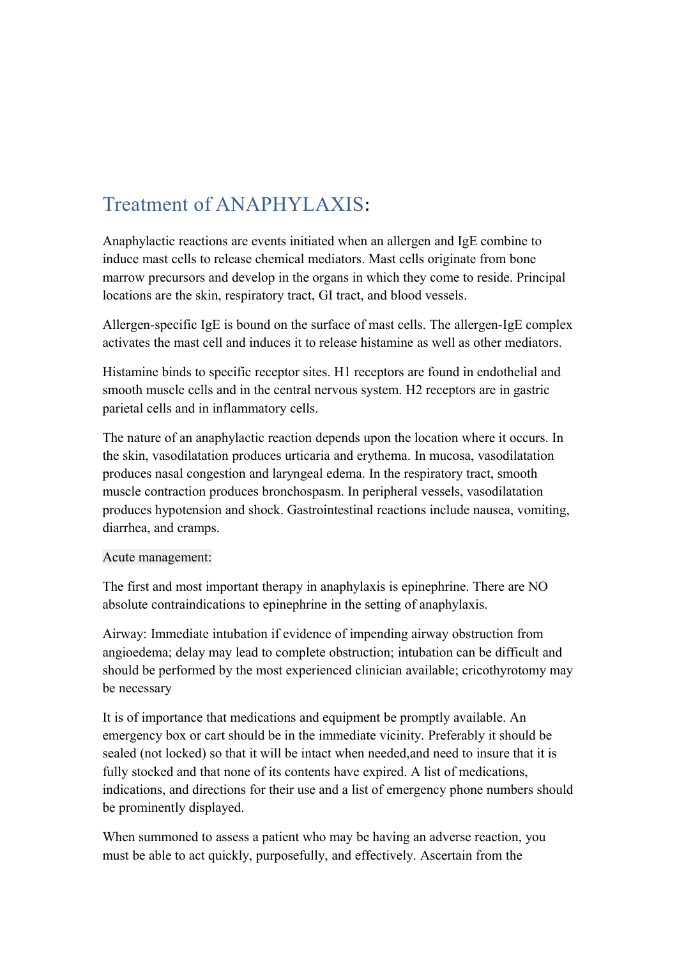# Treatment of ANAPHYLAXIS:

Anaphylactic reactions are events initiated when an allergen and IgE combine to induce mast cells to release chemical mediators. Mast cells originate from bone marrow precursors and develop in the organs in which they come to reside. Principal locations are the skin, respiratory tract, GI tract, and blood vessels.

Allergen-specific IgE is bound on the surface of mast cells. The allergen-IgE complex activates the mast cell and induces it to release histamine as well as other mediators.

Histamine binds to specific receptor sites. H1 receptors are found in endothelial and smooth muscle cells and in the central nervous system. H2 receptors are in gastric parietal cells and in inflammatory cells.

The nature of an anaphylactic reaction depends upon the location where it occurs. In the skin, vasodilatation produces urticaria and erythema. In mucosa, vasodilatation produces nasal congestion and laryngeal edema. In the respiratory tract, smooth muscle contraction produces bronchospasm. In peripheral vessels, vasodilatation produces hypotension and shock. Gastrointestinal reactions include nausea, vomiting, diarrhea, and cramps.

#### Acute management:

The first and most important therapy in anaphylaxis is epinephrine. There are NO absolute contraindications to epinephrine in the setting of anaphylaxis.

Airway: Immediate intubation if evidence of impending airway obstruction from angioedema; delay may lead to complete obstruction; intubation can be difficult and should be performed by the most experienced clinician available; cricothyrotomy may be necessary

It is of importance that medications and equipment be promptly available. An emergency box or cart should be in the immediate vicinity. Preferably it should be sealed (not locked) so that it will be intact when needed,and need to insure that it is fully stocked and that none of its contents have expired. A list of medications, indications, and directions for their use and a list of emergency phone numbers should be prominently displayed.

When summoned to assess a patient who may be having an adverse reaction, you must be able to act quickly, purposefully, and effectively. Ascertain from the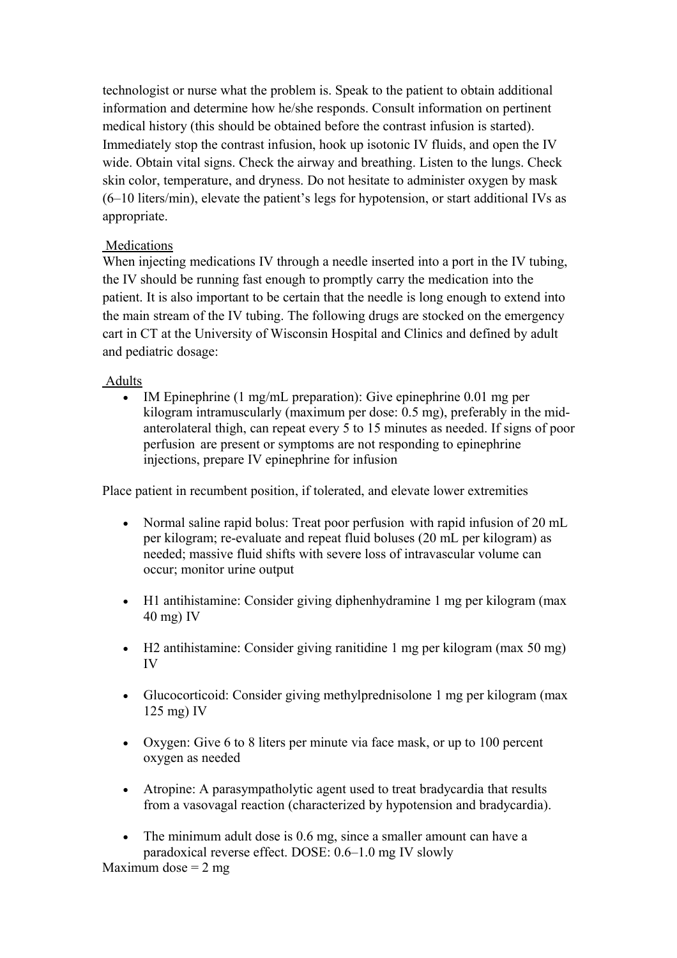technologist or nurse what the problem is. Speak to the patient to obtain additional information and determine how he/she responds. Consult information on pertinent medical history (this should be obtained before the contrast infusion is started). Immediately stop the contrast infusion, hook up isotonic IV fluids, and open the IV wide. Obtain vital signs. Check the airway and breathing. Listen to the lungs. Check skin color, temperature, and dryness. Do not hesitate to administer oxygen by mask (6–10 liters/min), elevate the patient's legs for hypotension, or start additional IVs as appropriate.

### **Medications**

When injecting medications IV through a needle inserted into a port in the IV tubing, the IV should be running fast enough to promptly carry the medication into the patient. It is also important to be certain that the needle is long enough to extend into the main stream of the IV tubing. The following drugs are stocked on the emergency cart in CT at the University of Wisconsin Hospital and Clinics and defined by adult and pediatric dosage:

### Adults

 IM Epinephrine (1 mg/mL preparation): Give epinephrine 0.01 mg per kilogram intramuscularly (maximum per dose: 0.5 mg), preferably in the midanterolateral thigh, can repeat every 5 to 15 minutes as needed. If signs of poor perfusion are present or symptoms are not responding to epinephrine injections, prepare IV epinephrine for infusion

Place patient in recumbent position, if tolerated, and elevate lower extremities

- Normal saline rapid bolus: Treat poor perfusion with rapid infusion of 20 mL per kilogram; re-evaluate and repeat fluid boluses (20 mL per kilogram) as needed; massive fluid shifts with severe loss of intravascular volume can occur; monitor urine output
- H1 antihistamine: Consider giving diphenhydramine 1 mg per kilogram (max 40 mg) IV
- H2 antihistamine: Consider giving ranitidine 1 mg per kilogram (max 50 mg) IV
- Glucocorticoid: Consider giving methylprednisolone 1 mg per kilogram (max 125 mg) IV
- Oxygen: Give 6 to 8 liters per minute via face mask, or up to 100 percent oxygen as needed
- Atropine: A parasympatholytic agent used to treat bradycardia that results from a vasovagal reaction (characterized by hypotension and bradycardia).
- The minimum adult dose is 0.6 mg, since a smaller amount can have a paradoxical reverse effect. DOSE: 0.6–1.0 mg IV slowly

Maximum dose  $= 2$  mg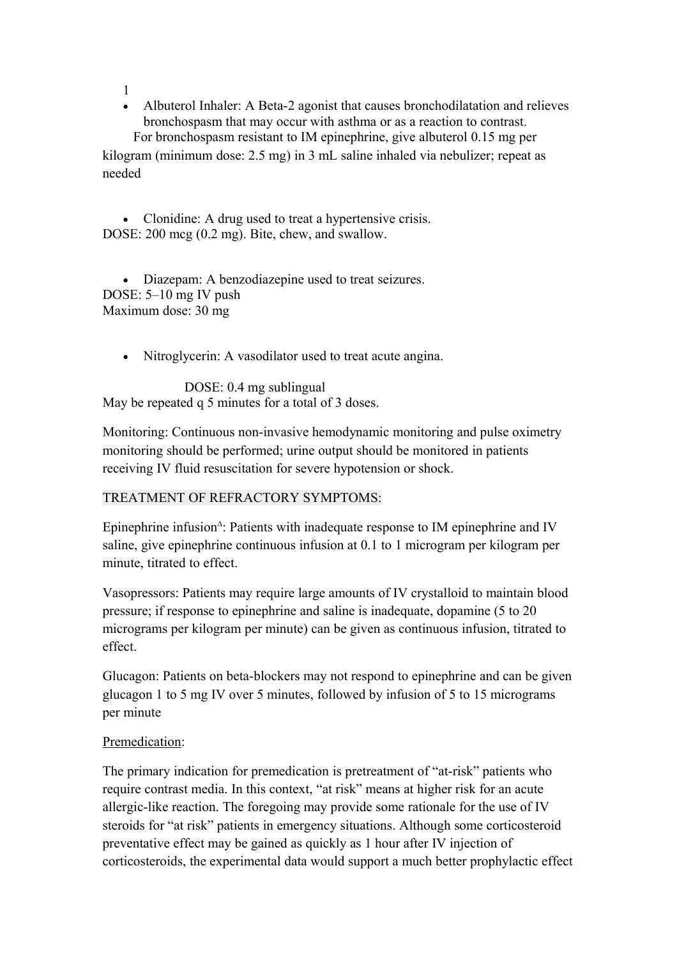1

 Albuterol Inhaler: A Beta-2 agonist that causes bronchodilatation and relieves bronchospasm that may occur with asthma or as a reaction to contrast.

 For bronchospasm resistant to IM epinephrine, give albuterol 0.15 mg per kilogram (minimum dose: 2.5 mg) in 3 mL saline inhaled via nebulizer; repeat as needed

• Clonidine: A drug used to treat a hypertensive crisis. DOSE: 200 mcg (0.2 mg). Bite, chew, and swallow.

 Diazepam: A benzodiazepine used to treat seizures. DOSE: 5–10 mg IV push Maximum dose: 30 mg

Nitroglycerin: A vasodilator used to treat acute angina.

DOSE: 0.4 mg sublingual May be repeated q 5 minutes for a total of 3 doses.

Monitoring: Continuous non-invasive hemodynamic monitoring and pulse oximetry monitoring should be performed; urine output should be monitored in patients receiving IV fluid resuscitation for severe hypotension or shock.

### TREATMENT OF REFRACTORY SYMPTOMS:

Epinephrine infusion $\triangle$ : Patients with inadequate response to IM epinephrine and IV saline, give epinephrine continuous infusion at 0.1 to 1 microgram per kilogram per minute, titrated to effect.

Vasopressors: Patients may require large amounts of IV crystalloid to maintain blood pressure; if response to epinephrine and saline is inadequate, dopamine (5 to 20 micrograms per kilogram per minute) can be given as continuous infusion, titrated to effect.

Glucagon: Patients on beta-blockers may not respond to epinephrine and can be given glucagon 1 to 5 mg IV over 5 minutes, followed by infusion of 5 to 15 micrograms per minute

## Premedication:

The primary indication for premedication is pretreatment of "at-risk" patients who require contrast media. In this context, "at risk" means at higher risk for an acute allergic-like reaction. The foregoing may provide some rationale for the use of IV steroids for "at risk" patients in emergency situations. Although some corticosteroid preventative effect may be gained as quickly as 1 hour after IV injection of corticosteroids, the experimental data would support a much better prophylactic effect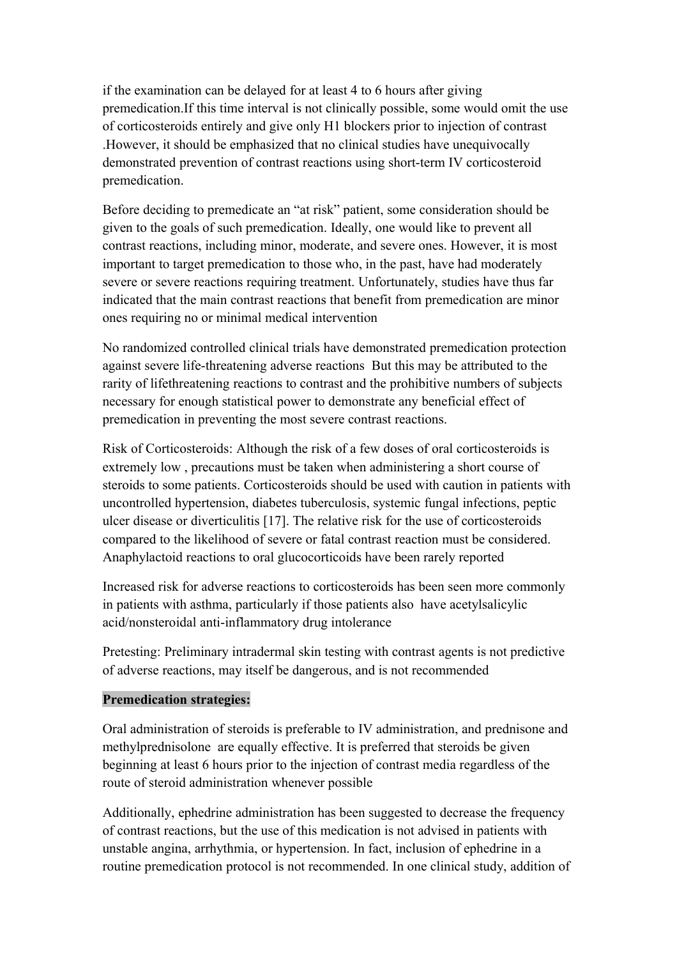if the examination can be delayed for at least 4 to 6 hours after giving premedication.If this time interval is not clinically possible, some would omit the use of corticosteroids entirely and give only H1 blockers prior to injection of contrast .However, it should be emphasized that no clinical studies have unequivocally demonstrated prevention of contrast reactions using short-term IV corticosteroid premedication.

Before deciding to premedicate an "at risk" patient, some consideration should be given to the goals of such premedication. Ideally, one would like to prevent all contrast reactions, including minor, moderate, and severe ones. However, it is most important to target premedication to those who, in the past, have had moderately severe or severe reactions requiring treatment. Unfortunately, studies have thus far indicated that the main contrast reactions that benefit from premedication are minor ones requiring no or minimal medical intervention

No randomized controlled clinical trials have demonstrated premedication protection against severe life-threatening adverse reactions But this may be attributed to the rarity of lifethreatening reactions to contrast and the prohibitive numbers of subjects necessary for enough statistical power to demonstrate any beneficial effect of premedication in preventing the most severe contrast reactions.

Risk of Corticosteroids: Although the risk of a few doses of oral corticosteroids is extremely low , precautions must be taken when administering a short course of steroids to some patients. Corticosteroids should be used with caution in patients with uncontrolled hypertension, diabetes tuberculosis, systemic fungal infections, peptic ulcer disease or diverticulitis [17]. The relative risk for the use of corticosteroids compared to the likelihood of severe or fatal contrast reaction must be considered. Anaphylactoid reactions to oral glucocorticoids have been rarely reported

Increased risk for adverse reactions to corticosteroids has been seen more commonly in patients with asthma, particularly if those patients also have acetylsalicylic acid/nonsteroidal anti-inflammatory drug intolerance

Pretesting: Preliminary intradermal skin testing with contrast agents is not predictive of adverse reactions, may itself be dangerous, and is not recommended

### **Premedication strategies:**

Oral administration of steroids is preferable to IV administration, and prednisone and methylprednisolone are equally effective. It is preferred that steroids be given beginning at least 6 hours prior to the injection of contrast media regardless of the route of steroid administration whenever possible

Additionally, ephedrine administration has been suggested to decrease the frequency of contrast reactions, but the use of this medication is not advised in patients with unstable angina, arrhythmia, or hypertension. In fact, inclusion of ephedrine in a routine premedication protocol is not recommended. In one clinical study, addition of